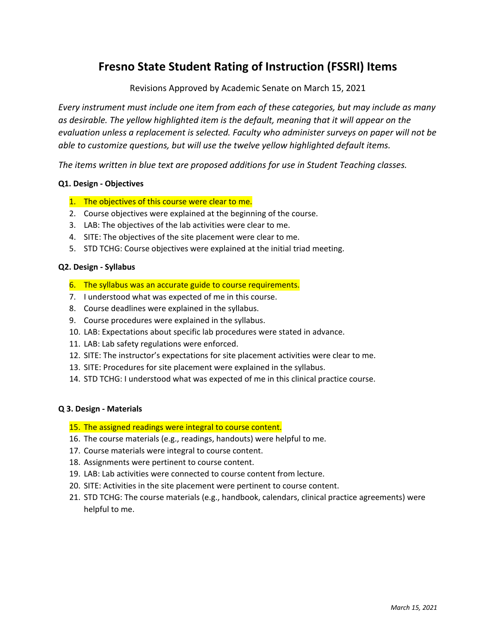# **Fresno State Student Rating of Instruction (FSSRI) Items**

Revisions Approved by Academic Senate on March 15, 2021

*Every instrument must include one item from each of these categories, but may include as many as desirable. The yellow highlighted item is the default, meaning that it will appear on the evaluation unless a replacement is selected. Faculty who administer surveys on paper will not be able to customize questions, but will use the twelve yellow highlighted default items.*

*The items written in blue text are proposed additions for use in Student Teaching classes.* 

#### **Q1. Design - Objectives**

- 1. The objectives of this course were clear to me.
- 2. Course objectives were explained at the beginning of the course.
- 3. LAB: The objectives of the lab activities were clear to me.
- 4. SITE: The objectives of the site placement were clear to me.
- 5. STD TCHG: Course objectives were explained at the initial triad meeting.

#### **Q2. Design - Syllabus**

- 6. The syllabus was an accurate guide to course requirements.
- 7. I understood what was expected of me in this course.
- 8. Course deadlines were explained in the syllabus.
- 9. Course procedures were explained in the syllabus.
- 10. LAB: Expectations about specific lab procedures were stated in advance.
- 11. LAB: Lab safety regulations were enforced.
- 12. SITE: The instructor's expectations for site placement activities were clear to me.
- 13. SITE: Procedures for site placement were explained in the syllabus.
- 14. STD TCHG: I understood what was expected of me in this clinical practice course.

## **Q 3. Design - Materials**

- 15. The assigned readings were integral to course content.
- 16. The course materials (e.g., readings, handouts) were helpful to me.
- 17. Course materials were integral to course content.
- 18. Assignments were pertinent to course content.
- 19. LAB: Lab activities were connected to course content from lecture.
- 20. SITE: Activities in the site placement were pertinent to course content.
- 21. STD TCHG: The course materials (e.g., handbook, calendars, clinical practice agreements) were helpful to me.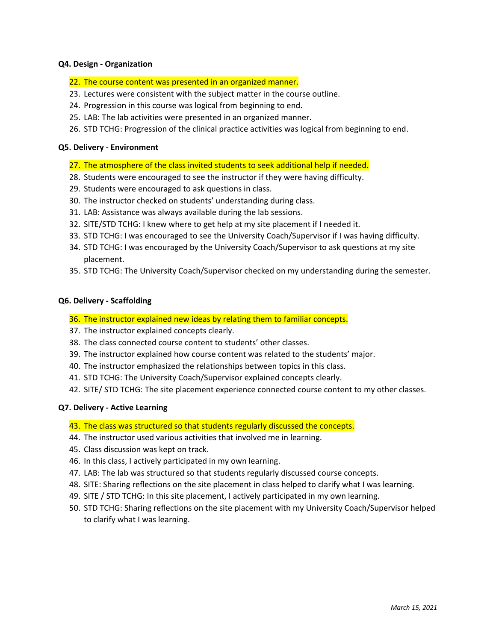## **Q4. Design - Organization**

- 22. The course content was presented in an organized manner.
- 23. Lectures were consistent with the subject matter in the course outline.
- 24. Progression in this course was logical from beginning to end.
- 25. LAB: The lab activities were presented in an organized manner.
- 26. STD TCHG: Progression of the clinical practice activities was logical from beginning to end.

## **Q5. Delivery - Environment**

- 27. The atmosphere of the class invited students to seek additional help if needed.
- 28. Students were encouraged to see the instructor if they were having difficulty.
- 29. Students were encouraged to ask questions in class.
- 30. The instructor checked on students' understanding during class.
- 31. LAB: Assistance was always available during the lab sessions.
- 32. SITE/STD TCHG: I knew where to get help at my site placement if I needed it.
- 33. STD TCHG: I was encouraged to see the University Coach/Supervisor if I was having difficulty.
- 34. STD TCHG: I was encouraged by the University Coach/Supervisor to ask questions at my site placement.
- 35. STD TCHG: The University Coach/Supervisor checked on my understanding during the semester.

## **Q6. Delivery - Scaffolding**

- 36. The instructor explained new ideas by relating them to familiar concepts.
- 37. The instructor explained concepts clearly.
- 38. The class connected course content to students' other classes.
- 39. The instructor explained how course content was related to the students' major.
- 40. The instructor emphasized the relationships between topics in this class.
- 41. STD TCHG: The University Coach/Supervisor explained concepts clearly.
- 42. SITE/ STD TCHG: The site placement experience connected course content to my other classes.

## **Q7. Delivery - Active Learning**

- 43. The class was structured so that students regularly discussed the concepts.
- 44. The instructor used various activities that involved me in learning.
- 45. Class discussion was kept on track.
- 46. In this class, I actively participated in my own learning.
- 47. LAB: The lab was structured so that students regularly discussed course concepts.
- 48. SITE: Sharing reflections on the site placement in class helped to clarify what I was learning.
- 49. SITE / STD TCHG: In this site placement, I actively participated in my own learning.
- 50. STD TCHG: Sharing reflections on the site placement with my University Coach/Supervisor helped to clarify what I was learning.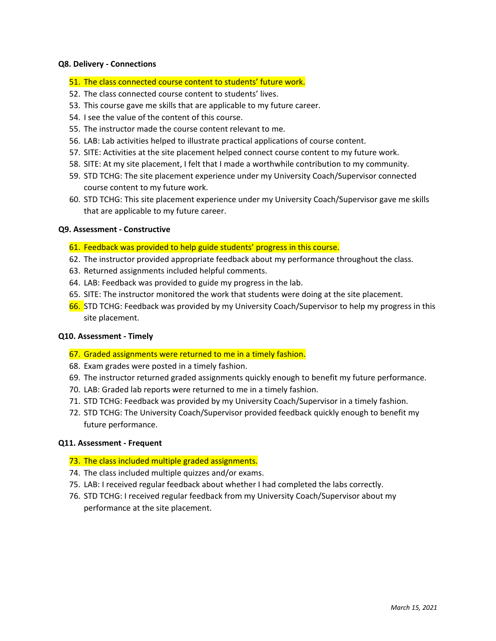#### **Q8. Delivery - Connections**

- 51. The class connected course content to students' future work.
- 52. The class connected course content to students' lives.
- 53. This course gave me skills that are applicable to my future career.
- 54. I see the value of the content of this course.
- 55. The instructor made the course content relevant to me.
- 56. LAB: Lab activities helped to illustrate practical applications of course content.
- 57. SITE: Activities at the site placement helped connect course content to my future work.
- 58. SITE: At my site placement, I felt that I made a worthwhile contribution to my community.
- 59. STD TCHG: The site placement experience under my University Coach/Supervisor connected course content to my future work.
- 60. STD TCHG: This site placement experience under my University Coach/Supervisor gave me skills that are applicable to my future career.

## **Q9. Assessment - Constructive**

## 61. Feedback was provided to help guide students' progress in this course.

- 62. The instructor provided appropriate feedback about my performance throughout the class.
- 63. Returned assignments included helpful comments.
- 64. LAB: Feedback was provided to guide my progress in the lab.
- 65. SITE: The instructor monitored the work that students were doing at the site placement.
- 66. STD TCHG: Feedback was provided by my University Coach/Supervisor to help my progress in this site placement.

#### **Q10. Assessment - Timely**

- 67. Graded assignments were returned to me in a timely fashion.
- 68. Exam grades were posted in a timely fashion.
- 69. The instructor returned graded assignments quickly enough to benefit my future performance.
- 70. LAB: Graded lab reports were returned to me in a timely fashion.
- 71. STD TCHG: Feedback was provided by my University Coach/Supervisor in a timely fashion.
- 72. STD TCHG: The University Coach/Supervisor provided feedback quickly enough to benefit my future performance.

#### **Q11. Assessment - Frequent**

#### 73. The class included multiple graded assignments.

- 74. The class included multiple quizzes and/or exams.
- 75. LAB: I received regular feedback about whether I had completed the labs correctly.
- 76. STD TCHG: I received regular feedback from my University Coach/Supervisor about my performance at the site placement.